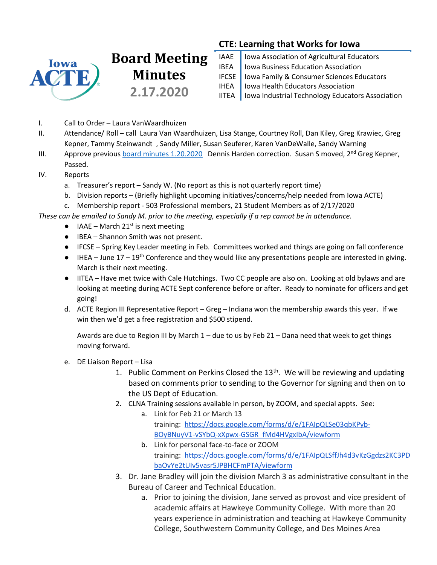## **Iowa**

## **Board Meeting Minutes 2.17.2020**

**CTE: Learning that Works for Iowa**

IAAE | Iowa Association of Agricultural Educators IBEA | Iowa Business Education Association IFCSE Iowa Family & Consumer Sciences Educators IHEA | Iowa Health Educators Association IITEA | Iowa Industrial Technology Educators Association

- I. Call to Order Laura VanWaardhuizen
- II. Attendance/ Roll call Laura Van Waardhuizen, Lisa Stange, Courtney Roll, Dan Kiley, Greg Krawiec, Greg Kepner, Tammy Steinwandt , Sandy Miller, Susan Seuferer, Karen VanDeWalle, Sandy Warning
- III. Approve previous board minutes  $1.20.2020$  Dennis Harden correction. Susan S moved,  $2<sup>nd</sup>$  Greg Kepner, Passed.
- IV. Reports
	- a. Treasurer's report Sandy W. (No report as this is not quarterly report time)
	- b. Division reports (Briefly highlight upcoming initiatives/concerns/help needed from Iowa ACTE)
	- c. Membership report 503 Professional members, 21 Student Members as of 2/17/2020

*These can be emailed to Sandy M. prior to the meeting, especially if a rep cannot be in attendance.*

- $\bullet$  IAAE March 21<sup>st</sup> is next meeting
- IBEA Shannon Smith was not present.
- IFCSE Spring Key Leader meeting in Feb. Committees worked and things are going on fall conference
- $\bullet$  IHEA June 17 19<sup>th</sup> Conference and they would like any presentations people are interested in giving. March is their next meeting.
- IITEA Have met twice with Cale Hutchings. Two CC people are also on. Looking at old bylaws and are looking at meeting during ACTE Sept conference before or after. Ready to nominate for officers and get going!
- d. ACTE Region III Representative Report Greg Indiana won the membership awards this year. If we win then we'd get a free registration and \$500 stipend.

Awards are due to Region III by March 1 – due to us by Feb 21 – Dana need that week to get things moving forward.

- e. DE Liaison Report Lisa
	- 1. Public Comment on Perkins Closed the 13<sup>th</sup>. We will be reviewing and updating based on comments prior to sending to the Governor for signing and then on to the US Dept of Education.
	- 2. CLNA Training sessions available in person, by ZOOM, and special appts. See:
		- a. Link for Feb 21 or March 13 training: [https://docs.google.com/forms/d/e/1FAIpQLSe03qbKPyb-](https://docs.google.com/forms/d/e/1FAIpQLSe03qbKPyb-BOyBNuyV1-vSYbQ-xXpwx-GSGR_fMd4HVgxIbA/viewform)[BOyBNuyV1-vSYbQ-xXpwx-GSGR\\_fMd4HVgxIbA/viewform](https://docs.google.com/forms/d/e/1FAIpQLSe03qbKPyb-BOyBNuyV1-vSYbQ-xXpwx-GSGR_fMd4HVgxIbA/viewform)
		- b. Link for personal face-to-face or ZOOM training: [https://docs.google.com/forms/d/e/1FAIpQLSffJh4d3vKzGgdzs2KC3PD](https://docs.google.com/forms/d/e/1FAIpQLSffJh4d3vKzGgdzs2KC3PDbaOvYe2tUIv5vasr5JPBHCFmPTA/viewform) [baOvYe2tUIv5vasr5JPBHCFmPTA/viewform](https://docs.google.com/forms/d/e/1FAIpQLSffJh4d3vKzGgdzs2KC3PDbaOvYe2tUIv5vasr5JPBHCFmPTA/viewform)
	- 3. Dr. Jane Bradley will join the division March 3 as administrative consultant in the Bureau of Career and Technical Education.
		- a. Prior to joining the division, Jane served as provost and vice president of academic affairs at Hawkeye Community College. With more than 20 years experience in administration and teaching at Hawkeye Community College, Southwestern Community College, and Des Moines Area